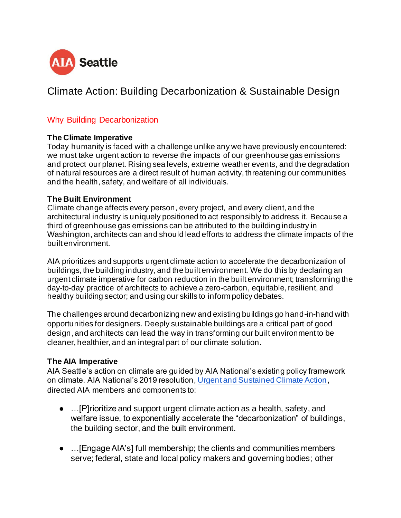

# Climate Action: Building Decarbonization & Sustainable Design

#### Why Building Decarbonization

#### **The Climate Imperative**

Today humanity is faced with a challenge unlike any we have previously encountered: we must take urgent action to reverse the impacts of our greenhouse gas emissions and protect our planet. Rising sea levels, extreme weather events, and the degradation of natural resources are a direct result of human activity, threatening our communities and the health, safety, and welfare of all individuals.

#### **The Built Environment**

Climate change affects every person, every project, and every client, and the architectural industry is uniquely positioned to act responsibly to address it. Because a third of greenhouse gas emissions can be attributed to the building industry in Washington, architects can and should lead efforts to address the climate impacts of the built environment.

AIA prioritizes and supports urgent climate action to accelerate the decarbonization of buildings, the building industry, and the built environment. We do this by declaring an urgent climate imperative for carbon reduction in the built environment; transforming the day-to-day practice of architects to achieve a zero-carbon, equitable, resilient, and healthy building sector; and using our skills to inform policy debates.

The challenges around decarbonizing new and existing buildings go hand-in-hand with opportunities for designers. Deeply sustainable buildings are a critical part of good design, and architects can lead the way in transforming our built environment to be cleaner, healthier, and an integral part of our climate solution.

#### **The AIA Imperative**

AIA Seattle's action on climate are guided by AIA National's existing policy framework on climate. AIA National's 2019 resolution, Urgent and Sustained Climate Action, directed AIA members and components to:

- …[P]rioritize and support urgent climate action as a health, safety, and welfare issue, to exponentially accelerate the "decarbonization" of buildings, the building sector, and the built environment.
- …[Engage AIA's] full membership; the clients and communities members serve; federal, state and local policy makers and governing bodies; other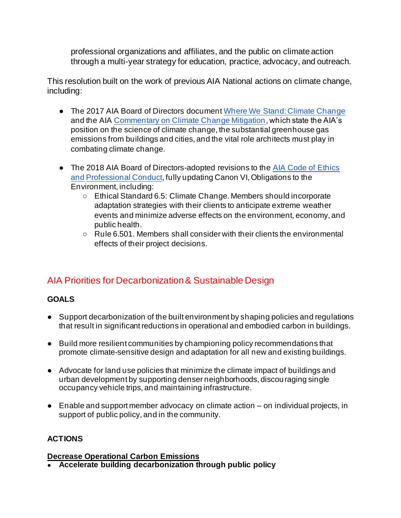professional organizations and affiliates, and the public on climate action through a multi-year strategy for education, practice, advocacy, and outreach.

This resolution built on the work of previous AIA National actions on climate change, including:

- The 2017 AIA Board of Directors document Where We Stand: Climate Change and the AIA Commentary on Climate Change Mitigation, which state the AIA's position on the science of climate change, the substantial greenhouse gas emissions from buildings and cities, and the vital role architects must play in combating climate change.
- The 2018 AIA Board of Directors-adopted revisions to the AIA Code of Ethics and Professional Conduct, fully updating Canon VI, Obligations to the Environment, including:
	- Ethical Standard 6.5: Climate Change. Members should incorporate adaptation strategies with their clients to anticipate extreme weather events and minimize adverse effects on the environment, economy, and public health.
	- Rule 6.501. Members shall consider with their clients the environmental effects of their project decisions.

## AIA Priorities for Decarbonization & Sustainable Design

### **GOALS**

- Support decarbonization of the built environment by shaping policies and regulations that result in significant reductions in operational and embodied carbon in buildings.
- Build more resilient communities by championing policy recommendations that promote climate-sensitive design and adaptation for all new and existing buildings.
- Advocate for land use policies that minimize the climate impact of buildings and urban development by supporting denser neighborhoods, discouraging single occupancy vehicle trips, and maintaining infrastructure.
- Enable and support member advocacy on climate action on individual projects, in support of public policy, and in the community.

### **ACTIONS**

#### **Decrease Operational Carbon Emissions**

● **Accelerate building decarbonization through public policy**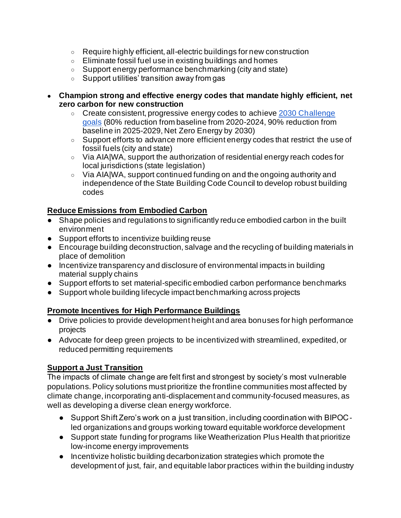- Require highly efficient, all-electric buildings for new construction
- Eliminate fossil fuel use in existing buildings and homes
- Support energy performance benchmarking (city and state)
- Support utilities' transition away from gas
- **Champion strong and effective energy codes that mandate highly efficient, net zero carbon for new construction**
	- Create consistent, progressive energy codes to achieve 2030 Challenge goals (80% reduction from baseline from 2020-2024, 90% reduction from baseline in 2025-2029, Net Zero Energy by 2030)
	- Support efforts to advance more efficient energy codes that restrict the use of fossil fuels (city and state)
	- Via AIA|WA, support the authorization of residential energy reach codes for local jurisdictions (state legislation)
	- Via AIA|WA, support continued funding on and the ongoing authority and independence of the State Building Code Council to develop robust building codes

#### **Reduce Emissions from Embodied Carbon**

- Shape policies and regulations to significantly reduce embodied carbon in the built environment
- Support efforts to incentivize building reuse
- Encourage building deconstruction, salvage and the recycling of building materials in place of demolition
- Incentivize transparency and disclosure of environmental impacts in building material supply chains
- Support efforts to set material-specific embodied carbon performance benchmarks
- Support whole building lifecycle impact benchmarking across projects

#### **Promote Incentives for High Performance Buildings**

- Drive policies to provide development height and area bonuses for high performance projects
- Advocate for deep green projects to be incentivized with streamlined, expedited, or reduced permitting requirements

#### **Support a Just Transition**

The impacts of climate change are felt first and strongest by society's most vulnerable populations. Policy solutions must prioritize the frontline communities most affected by climate change, incorporating anti-displacement and community-focused measures, as well as developing a diverse clean energy workforce.

- Support Shift Zero's work on a just transition, including coordination with BIPOC led organizations and groups working toward equitable workforce development
- Support state funding for programs like Weatherization Plus Health that prioritize low-income energy improvements
- Incentivize holistic building decarbonization strategies which promote the development of just, fair, and equitable labor practices within the building industry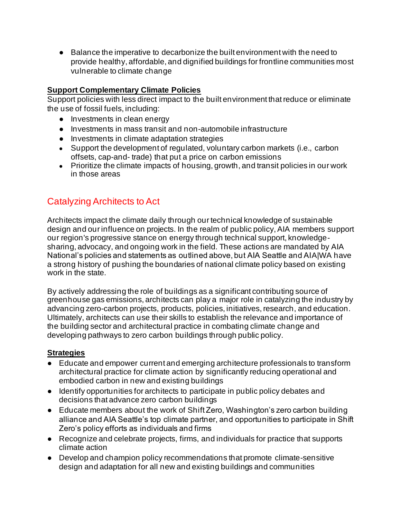● Balance the imperative to decarbonize the built environment with the need to provide healthy, affordable, and dignified buildings for frontline communities most vulnerable to climate change

#### **Support Complementary Climate Policies**

Support policies with less direct impact to the built environment that reduce or eliminate the use of fossil fuels, including:

- Investments in clean energy
- Investments in mass transit and non-automobile infrastructure
- Investments in climate adaptation strategies
- Support the development of regulated, voluntary carbon markets (i.e., carbon offsets, cap-and- trade) that put a price on carbon emissions
- Prioritize the climate impacts of housing, growth, and transit policies in our work in those areas

## Catalyzing Architects to Act

Architects impact the climate daily through our technical knowledge of sustainable design and our influence on projects. In the realm of public policy, AIA members support our region's progressive stance on energy through technical support, knowledgesharing, advocacy, and ongoing work in the field. These actions are mandated by AIA National's policies and statements as outlined above, but AIA Seattle and AIA|WA have a strong history of pushing the boundaries of national climate policy based on existing work in the state.

By actively addressing the role of buildings as a significant contributing source of greenhouse gas emissions, architects can play a major role in catalyzing the industry by advancing zero-carbon projects, products, policies, initiatives, research, and education. Ultimately, architects can use their skills to establish the relevance and importance of the building sector and architectural practice in combating climate change and developing pathways to zero carbon buildings through public policy.

#### **Strategies**

- Educate and empower current and emerging architecture professionals to transform architectural practice for climate action by significantly reducing operational and embodied carbon in new and existing buildings
- Identify opportunities for architects to participate in public policy debates and decisions that advance zero carbon buildings
- Educate members about the work of Shift Zero, Washington's zero carbon building alliance and AIA Seattle's top climate partner, and opportunities to participate in Shift Zero's policy efforts as individuals and firms
- Recognize and celebrate projects, firms, and individuals for practice that supports climate action
- Develop and champion policy recommendations that promote climate-sensitive design and adaptation for all new and existing buildings and communities